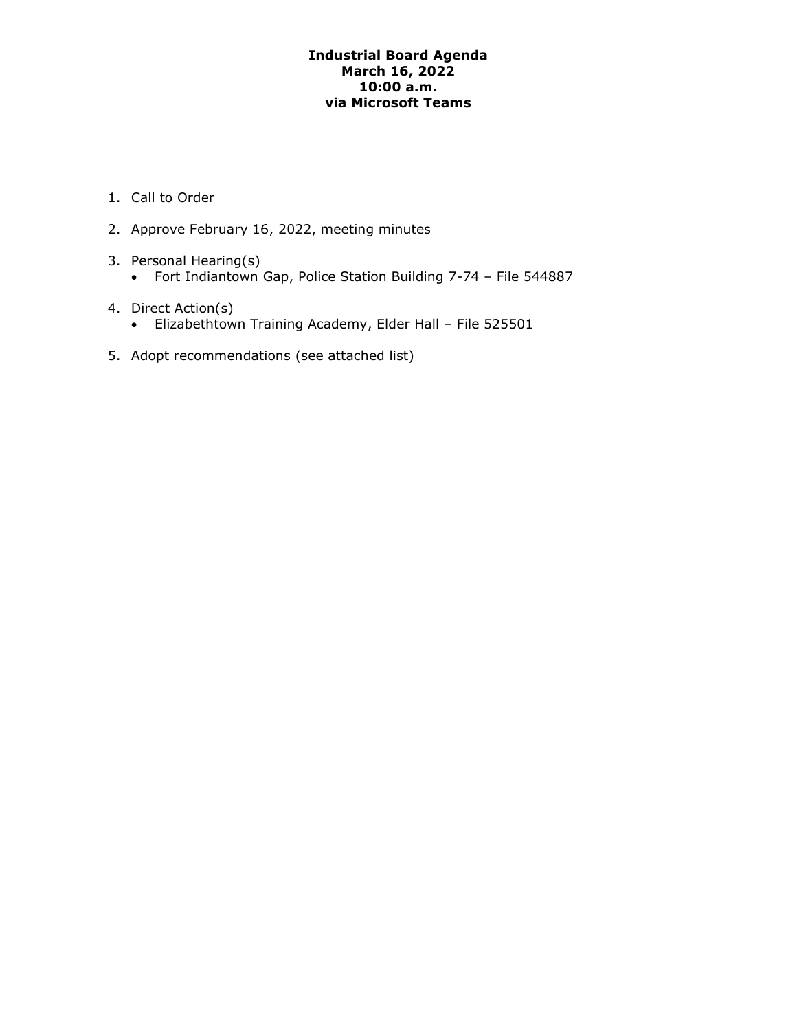# **Industrial Board Agenda March 16, 2022 10:00 a.m. via Microsoft Teams**

- 1. Call to Order
- 2. Approve February 16, 2022, meeting minutes
- 3. Personal Hearing(s)
	- Fort Indiantown Gap, Police Station Building 7-74 File 544887
- 4. Direct Action(s)
	- Elizabethtown Training Academy, Elder Hall File 525501
- 5. Adopt recommendations (see attached list)